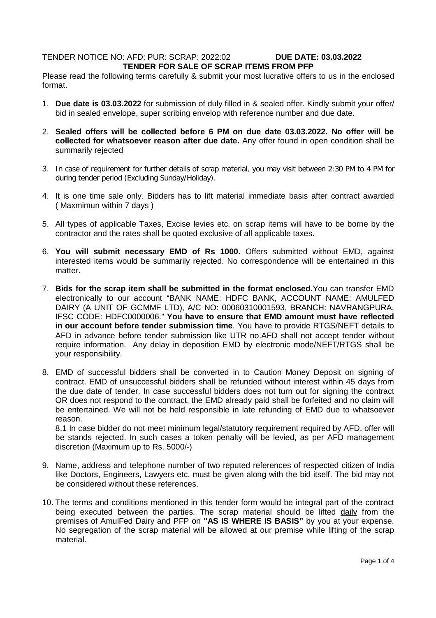# TENDER NOTICE NO: AFD: PUR: SCRAP: 2022:02 **DUE DATE: 03.03.2022 TENDER FOR SALE OF SCRAP ITEMS FROM PFP**

Please read the following terms carefully & submit your most lucrative offers to us in the enclosed format.

- 1. **Due date is 03.03.2022** for submission of duly filled in & sealed offer. Kindly submit your offer/ bid in sealed envelope, super scribing envelop with reference number and due date.
- 2. **Sealed offers will be collected before 6 PM on due date 03.03.2022. No offer will be collected for whatsoever reason after due date.** Any offer found in open condition shall be summarily rejected
- 3. In case of requirement for further details of scrap material, you may visit between 2:30 PM to 4 PM for during tender period (Excluding Sunday/Holiday).
- 4. It is one time sale only. Bidders has to lift material immediate basis after contract awarded ( Maxmimun within 7 days )
- 5. All types of applicable Taxes, Excise levies etc. on scrap items will have to be borne by the contractor and the rates shall be quoted exclusive of all applicable taxes.
- 6. **You will submit necessary EMD of Rs 1000.** Offers submitted without EMD, against interested items would be summarily rejected. No correspondence will be entertained in this matter.
- 7. **Bids for the scrap item shall be submitted in the format enclosed.**You can transfer EMD electronically to our account "BANK NAME: HDFC BANK, ACCOUNT NAME: AMULFED DAIRY (A UNIT OF GCMMF LTD), A/C NO: 00060310001593, BRANCH: NAVRANGPURA, IFSC CODE: HDFC0000006." **You have to ensure that EMD amount must have reflected in our account before tender submission time**. You have to provide RTGS/NEFT details to AFD in advance before tender submission like UTR no.AFD shall not accept tender without require information. Any delay in deposition EMD by electronic mode/NEFT/RTGS shall be your responsibility.
- 8. EMD of successful bidders shall be converted in to Caution Money Deposit on signing of contract. EMD of unsuccessful bidders shall be refunded without interest within 45 days from the due date of tender. In case successful bidders does not turn out for signing the contract OR does not respond to the contract, the EMD already paid shall be forfeited and no claim will be entertained. We will not be held responsible in late refunding of EMD due to whatsoever reason.

8.1 In case bidder do not meet minimum legal/statutory requirement required by AFD, offer will be stands rejected. In such cases a token penalty will be levied, as per AFD management discretion (Maximum up to Rs. 5000/-)

- 9. Name, address and telephone number of two reputed references of respected citizen of India like Doctors, Engineers, Lawyers etc. must be given along with the bid itself. The bid may not be considered without these references.
- 10. The terms and conditions mentioned in this tender form would be integral part of the contract being executed between the parties. The scrap material should be lifted daily from the premises of AmulFed Dairy and PFP on **"AS IS WHERE IS BASIS"** by you at your expense. No segregation of the scrap material will be allowed at our premise while lifting of the scrap material.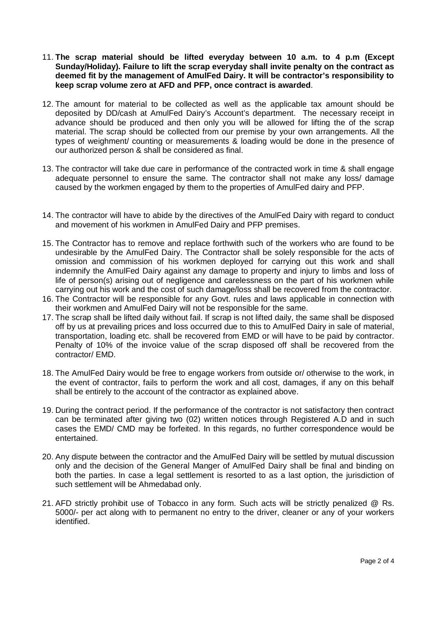- 11. **The scrap material should be lifted everyday between 10 a.m. to 4 p.m (Except Sunday/Holiday). Failure to lift the scrap everyday shall invite penalty on the contract as deemed fit by the management of AmulFed Dairy. It will be contractor's responsibility to keep scrap volume zero at AFD and PFP, once contract is awarded**.
- 12. The amount for material to be collected as well as the applicable tax amount should be deposited by DD/cash at AmulFed Dairy's Account's department. The necessary receipt in advance should be produced and then only you will be allowed for lifting the of the scrap material. The scrap should be collected from our premise by your own arrangements. All the types of weighment/ counting or measurements & loading would be done in the presence of our authorized person & shall be considered as final.
- 13. The contractor will take due care in performance of the contracted work in time & shall engage adequate personnel to ensure the same. The contractor shall not make any loss/ damage caused by the workmen engaged by them to the properties of AmulFed dairy and PFP.
- 14. The contractor will have to abide by the directives of the AmulFed Dairy with regard to conduct and movement of his workmen in AmulFed Dairy and PFP premises.
- 15. The Contractor has to remove and replace forthwith such of the workers who are found to be undesirable by the AmulFed Dairy. The Contractor shall be solely responsible for the acts of omission and commission of his workmen deployed for carrying out this work and shall indemnify the AmulFed Dairy against any damage to property and injury to limbs and loss of life of person(s) arising out of negligence and carelessness on the part of his workmen while carrying out his work and the cost of such damage/loss shall be recovered from the contractor.
- 16. The Contractor will be responsible for any Govt. rules and laws applicable in connection with their workmen and AmulFed Dairy will not be responsible for the same.
- 17. The scrap shall be lifted daily without fail. If scrap is not lifted daily, the same shall be disposed off by us at prevailing prices and loss occurred due to this to AmulFed Dairy in sale of material, transportation, loading etc. shall be recovered from EMD or will have to be paid by contractor. Penalty of 10% of the invoice value of the scrap disposed off shall be recovered from the contractor/ EMD.
- 18. The AmulFed Dairy would be free to engage workers from outside or/ otherwise to the work, in the event of contractor, fails to perform the work and all cost, damages, if any on this behalf shall be entirely to the account of the contractor as explained above.
- 19. During the contract period. If the performance of the contractor is not satisfactory then contract can be terminated after giving two (02) written notices through Registered A.D and in such cases the EMD/ CMD may be forfeited. In this regards, no further correspondence would be entertained.
- 20. Any dispute between the contractor and the AmulFed Dairy will be settled by mutual discussion only and the decision of the General Manger of AmulFed Dairy shall be final and binding on both the parties. In case a legal settlement is resorted to as a last option, the jurisdiction of such settlement will be Ahmedabad only.
- 21. AFD strictly prohibit use of Tobacco in any form. Such acts will be strictly penalized @ Rs. 5000/- per act along with to permanent no entry to the driver, cleaner or any of your workers identified.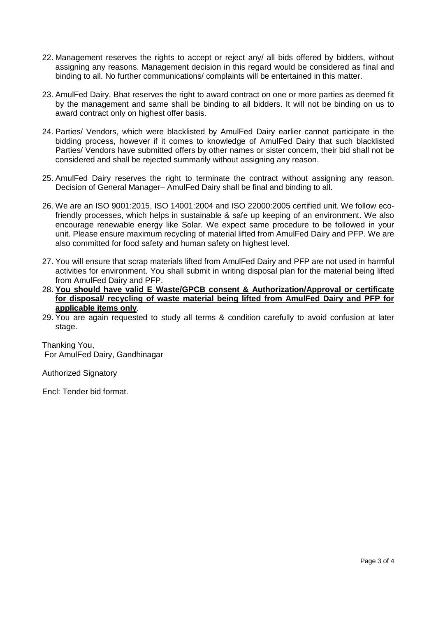- 22. Management reserves the rights to accept or reject any/ all bids offered by bidders, without assigning any reasons. Management decision in this regard would be considered as final and binding to all. No further communications/ complaints will be entertained in this matter.
- 23. AmulFed Dairy, Bhat reserves the right to award contract on one or more parties as deemed fit by the management and same shall be binding to all bidders. It will not be binding on us to award contract only on highest offer basis.
- 24. Parties/ Vendors, which were blacklisted by AmulFed Dairy earlier cannot participate in the bidding process, however if it comes to knowledge of AmulFed Dairy that such blacklisted Parties/ Vendors have submitted offers by other names or sister concern, their bid shall not be considered and shall be rejected summarily without assigning any reason.
- 25. AmulFed Dairy reserves the right to terminate the contract without assigning any reason. Decision of General Manager– AmulFed Dairy shall be final and binding to all.
- 26. We are an ISO 9001:2015, ISO 14001:2004 and ISO 22000:2005 certified unit. We follow ecofriendly processes, which helps in sustainable & safe up keeping of an environment. We also encourage renewable energy like Solar. We expect same procedure to be followed in your unit. Please ensure maximum recycling of material lifted from AmulFed Dairy and PFP. We are also committed for food safety and human safety on highest level.
- 27. You will ensure that scrap materials lifted from AmulFed Dairy and PFP are not used in harmful activities for environment. You shall submit in writing disposal plan for the material being lifted from AmulFed Dairy and PFP.
- 28. **You should have valid E Waste/GPCB consent & Authorization/Approval or certificate for disposal/ recycling of waste material being lifted from AmulFed Dairy and PFP for applicable items only**.
- 29. You are again requested to study all terms & condition carefully to avoid confusion at later stage.

Thanking You, For AmulFed Dairy, Gandhinagar

Authorized Signatory

Encl: Tender bid format.